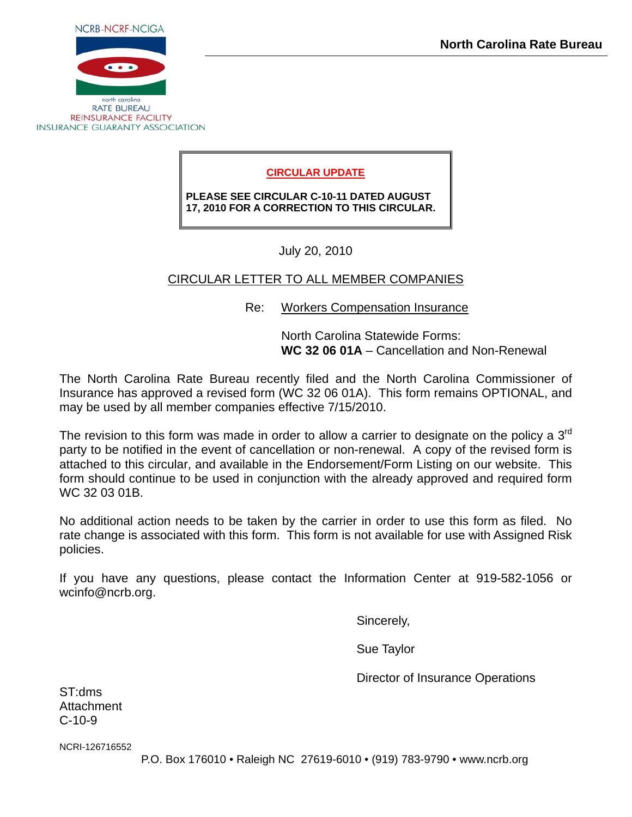

**REINSURANCE FACILITY INSURANCE GUARANTY ASSOCIATION** 

## **CIRCULAR UPDATE**

**PLEASE SEE CIRCULAR C-10-11 DATED AUGUST 17, 2010 FOR A CORRECTION TO THIS CIRCULAR.**

July 20, 2010

## CIRCULAR LETTER TO ALL MEMBER COMPANIES

Re: Workers Compensation Insurance

 North Carolina Statewide Forms: **WC 32 06 01A** – Cancellation and Non-Renewal

The North Carolina Rate Bureau recently filed and the North Carolina Commissioner of Insurance has approved a revised form (WC 32 06 01A). This form remains OPTIONAL, and may be used by all member companies effective 7/15/2010.

The revision to this form was made in order to allow a carrier to designate on the policy a  $3<sup>rd</sup>$ party to be notified in the event of cancellation or non-renewal. A copy of the revised form is attached to this circular, and available in the Endorsement/Form Listing on our website. This form should continue to be used in conjunction with the already approved and required form WC 32 03 01B.

No additional action needs to be taken by the carrier in order to use this form as filed. No rate change is associated with this form. This form is not available for use with Assigned Risk policies.

If you have any questions, please contact the Information Center at 919-582-1056 or wcinfo@ncrb.org.

Sincerely,

Sue Taylor

Director of Insurance Operations

ST:dms **Attachment** C-10-9

NCRI-126716552

P.O. Box 176010 • Raleigh NC 27619-6010 • (919) 783-9790 • www.ncrb.org